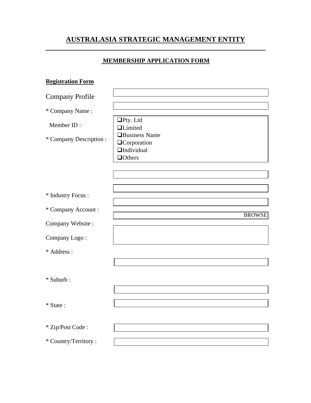# **AUSTRALASIA STRATEGIC MANAGEMENT ENTITY**

### **MEMBERSHIP APPLICATION FORM**

| <b>Registration Form</b> |                                                |
|--------------------------|------------------------------------------------|
| <b>Company Profile</b>   |                                                |
| * Company Name:          |                                                |
| Member ID:               | $\Box$ Pty. Ltd<br><b>QLimited</b>             |
| * Company Description :  | <b>I</b> Business Name<br><b>Q</b> Corporation |
|                          | $\Box$ Individual<br><b>Others</b>             |
|                          |                                                |
|                          |                                                |
| * Industry Focus :       |                                                |
| * Company Account:       | <b>BROWSE</b>                                  |
| Company Website:         |                                                |
| Company Logo:            |                                                |
| * Address :              |                                                |
|                          |                                                |
| * Suburb:                |                                                |
|                          |                                                |
| $*$ State :              |                                                |
| * Zip/Post Code:         |                                                |
| * Country/Territory:     |                                                |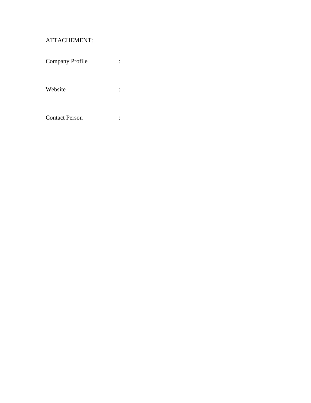## ATTACHEMENT:

| Company Profile       |  |
|-----------------------|--|
| Website               |  |
| <b>Contact Person</b> |  |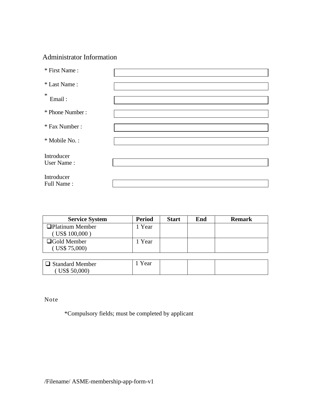## Administrator Information

| * First Name:   |  |
|-----------------|--|
|                 |  |
| * Last Name:    |  |
|                 |  |
| $\ast$          |  |
| Email:          |  |
|                 |  |
|                 |  |
| * Phone Number: |  |
|                 |  |
|                 |  |
| * Fax Number:   |  |
|                 |  |
| * Mobile No.:   |  |
|                 |  |
|                 |  |
| Introducer      |  |
|                 |  |
| User Name:      |  |
|                 |  |
| Introducer      |  |
|                 |  |
| Full Name:      |  |

| <b>Service System</b>                                 | <b>Period</b> | <b>Start</b> | End | <b>Remark</b> |
|-------------------------------------------------------|---------------|--------------|-----|---------------|
| <b>Platinum Member</b><br>$($ US\$ 100,000 $)$        | 1 Year        |              |     |               |
| $\Box$ Gold Member<br>$($ US\$ 75,000 $)$             | 1 Year        |              |     |               |
|                                                       |               |              |     |               |
| $\Box$ Standard Member<br>$\overline{C}$ US\$ 50,000) | 1 Year        |              |     |               |

Note

\*Compulsory fields; must be completed by applicant